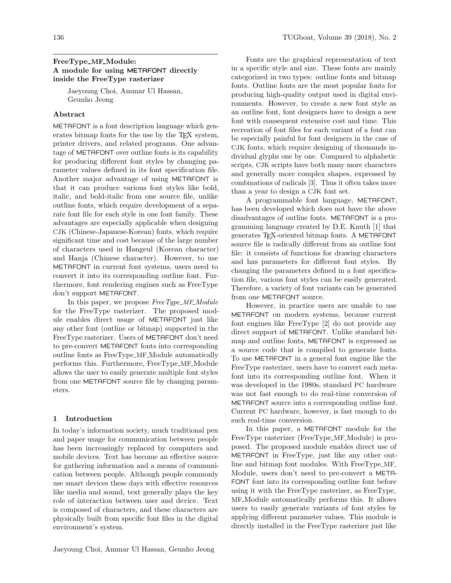### FreeType\_MF\_Module: A module for using METAFONT directly inside the FreeType rasterizer

Jaeyoung Choi, Ammar Ul Hassan, Geunho Jeong

#### Abstract

METAFONT is a font description language which generates bitmap fonts for the use by the T<sub>EX</sub> system, printer drivers, and related programs. One advantage of METAFONT over outline fonts is its capability for producing different font styles by changing parameter values defined in its font specification file. Another major advantage of using METAFONT is that it can produce various font styles like bold, italic, and bold-italic from one source file, unlike outline fonts, which require development of a separate font file for each style in one font family. These advantages are especially applicable when designing CJK (Chinese-Japanese-Korean) fonts, which require significant time and cost because of the large number of characters used in Hangeul (Korean character) and Hanja (Chinese character). However, to use METAFONT in current font systems, users need to convert it into its corresponding outline font. Furthermore, font rendering engines such as FreeType don't support METAFONT.

In this paper, we propose FreeType\_MF\_Module for the FreeType rasterizer. The proposed module enables direct usage of METAFONT just like any other font (outline or bitmap) supported in the FreeType rasterizer. Users of METAFONT don't need to pre-convert METAFONT fonts into corresponding outline fonts as FreeType MF Module automatically performs this. Furthermore, FreeType MF Module allows the user to easily generate multiple font styles from one METAFONT source file by changing parameters.

#### 1 Introduction

In today's information society, much traditional pen and paper usage for communication between people has been increasingly replaced by computers and mobile devices. Text has become an effective source for gathering information and a means of communication between people. Although people commonly use smart devices these days with effective resources like media and sound, text generally plays the key role of interaction between user and device. Text is composed of characters, and these characters are physically built from specific font files in the digital environment's system.

Fonts are the graphical representation of text in a specific style and size. These fonts are mainly categorized in two types: outline fonts and bitmap fonts. Outline fonts are the most popular fonts for producing high-quality output used in digital environments. However, to create a new font style as an outline font, font designers have to design a new font with consequent extensive cost and time. This recreation of font files for each variant of a font can be especially painful for font designers in the case of CJK fonts, which require designing of thousands individual glyphs one by one. Compared to alphabetic scripts, CJK scripts have both many more characters and generally more complex shapes, expressed by combinations of radicals [3]. Thus it often takes more than a year to design a CJK font set.

A programmable font language, METAFONT, has been developed which does not have the above disadvantages of outline fonts. METAFONT is a programming language created by D.E. Knuth [1] that generates TEX-oriented bitmap fonts. A METAFONT source file is radically different from an outline font file: it consists of functions for drawing characters and has parameters for different font styles. By changing the parameters defined in a font specification file, various font styles can be easily generated. Therefore, a variety of font variants can be generated from one METAFONT source.

However, in practice users are unable to use METAFONT on modern systems, because current font engines like FreeType [2] do not provide any direct support of METAFONT. Unlike standard bitmap and outline fonts, METAFONT is expressed as a source code that is compiled to generate fonts. To use METAFONT in a general font engine like the FreeType rasterizer, users have to convert each metafont into its corresponding outline font. When it was developed in the 1980s, standard PC hardware was not fast enough to do real-time conversion of METAFONT source into a corresponding outline font. Current PC hardware, however, is fast enough to do such real-time conversion.

In this paper, a METAFONT module for the FreeType rasterizer (FreeType\_MF\_Module) is proposed. The proposed module enables direct use of METAFONT in FreeType, just like any other outline and bitmap font modules. With FreeType MF Module, users don't need to pre-convert a META-FONT font into its corresponding outline font before using it with the FreeType rasterizer, as FreeType MF Module automatically performs this. It allows users to easily generate variants of font styles by applying different parameter values. This module is directly installed in the FreeType rasterizer just like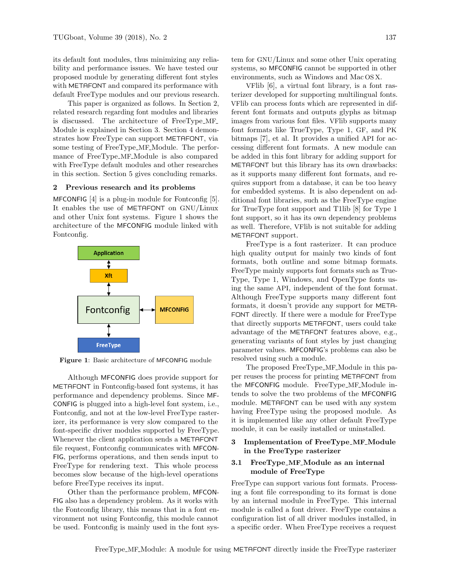its default font modules, thus minimizing any reliability and performance issues. We have tested our proposed module by generating different font styles with METAFONT and compared its performance with default FreeType modules and our previous research.

This paper is organized as follows. In Section [2,](#page-1-0) related research regarding font modules and libraries is discussed. The architecture of FreeType MF Module is explained in Section [3.](#page-1-1) Section [4](#page-4-0) demonstrates how FreeType can support METAFONT, via some testing of FreeType MF Module. The performance of FreeType MF Module is also compared with FreeType default modules and other researches in this section. Section [5](#page-6-0) gives concluding remarks.

#### <span id="page-1-0"></span>2 Previous research and its problems

MFCONFIG [4] is a plug-in module for Fontconfig [5]. It enables the use of METAFONT on GNU/Linux and other Unix font systems. Figure [1](#page-1-2) shows the architecture of the MFCONFIG module linked with Fontconfig.

<span id="page-1-2"></span>

Figure 1: Basic architecture of MFCONFIG module

Although MFCONFIG does provide support for METAFONT in Fontconfig-based font systems, it has performance and dependency problems. Since MF-CONFIG is plugged into a high-level font system, i.e., Fontconfig, and not at the low-level FreeType rasterizer, its performance is very slow compared to the font-specific driver modules supported by FreeType. Whenever the client application sends a METAFONT file request, Fontconfig communicates with MFCON-FIG, performs operations, and then sends input to FreeType for rendering text. This whole process becomes slow because of the high-level operations before FreeType receives its input.

Other than the performance problem, MFCON-FIG also has a dependency problem. As it works with the Fontconfig library, this means that in a font environment not using Fontconfig, this module cannot be used. Fontconfig is mainly used in the font system for GNU/Linux and some other Unix operating systems, so MFCONFIG cannot be supported in other environments, such as Windows and Mac OS X.

VFlib [6], a virtual font library, is a font rasterizer developed for supporting multilingual fonts. VFlib can process fonts which are represented in different font formats and outputs glyphs as bitmap images from various font files. VFlib supports many font formats like TrueType, Type 1, GF, and PK bitmaps [7], et al. It provides a unified API for accessing different font formats. A new module can be added in this font library for adding support for METAFONT but this library has its own drawbacks: as it supports many different font formats, and requires support from a database, it can be too heavy for embedded systems. It is also dependent on additional font libraries, such as the FreeType engine for TrueType font support and T1lib [8] for Type 1 font support, so it has its own dependency problems as well. Therefore, VFlib is not suitable for adding METAFONT support.

FreeType is a font rasterizer. It can produce high quality output for mainly two kinds of font formats, both outline and some bitmap formats. FreeType mainly supports font formats such as True-Type, Type 1, Windows, and OpenType fonts using the same API, independent of the font format. Although FreeType supports many different font formats, it doesn't provide any support for META-FONT directly. If there were a module for FreeType that directly supports METAFONT, users could take advantage of the METAFONT features above, e.g., generating variants of font styles by just changing parameter values. MFCONFIG's problems can also be resolved using such a module.

The proposed FreeType\_MF\_Module in this paper reuses the process for printing METAFONT from the MFCONFIG module. FreeType\_MF\_Module intends to solve the two problems of the MFCONFIG module. METAFONT can be used with any system having FreeType using the proposed module. As it is implemented like any other default FreeType module, it can be easily installed or uninstalled.

### <span id="page-1-1"></span>3 Implementation of FreeType\_MF\_Module in the FreeType rasterizer

### 3.1 FreeType\_MF\_Module as an internal module of FreeType

FreeType can support various font formats. Processing a font file corresponding to its format is done by an internal module in FreeType. This internal module is called a font driver. FreeType contains a configuration list of all driver modules installed, in a specific order. When FreeType receives a request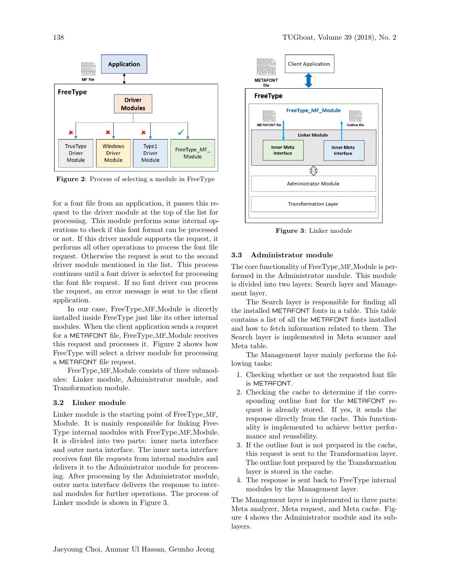<span id="page-2-0"></span>

Figure 2: Process of selecting a module in FreeType

for a font file from an application, it passes this request to the driver module at the top of the list for processing. This module performs some internal operations to check if this font format can be processed or not. If this driver module supports the request, it performs all other operations to process the font file request. Otherwise the request is sent to the second driver module mentioned in the list. This process continues until a font driver is selected for processing the font file request. If no font driver can process the request, an error message is sent to the client application.

In our case, FreeType MF Module is directly installed inside FreeType just like its other internal modules. When the client application sends a request for a METAFONT file, FreeType MF Module receives this request and processes it. Figure [2](#page-2-0) shows how FreeType will select a driver module for processing a METAFONT file request.

FreeType\_MF\_Module consists of three submodules: Linker module, Administrator module, and Transformation module.

#### 3.2 Linker module

Linker module is the starting point of FreeType MF Module. It is mainly responsible for linking Free-Type internal modules with FreeType\_MF\_Module. It is divided into two parts: inner meta interface and outer meta interface. The inner meta interface receives font file requests from internal modules and delivers it to the Administrator module for processing. After processing by the Administrator module, outer meta interface delivers the response to internal modules for further operations. The process of Linker module is shown in Figure [3.](#page-2-1)

<span id="page-2-1"></span>

Figure 3: Linker module

### 3.3 Administrator module

The core functionality of FreeType\_MF\_Module is performed in the Administrator module. This module is divided into two layers: Search layer and Management layer.

The Search layer is responsible for finding all the installed METAFONT fonts in a table. This table contains a list of all the METAFONT fonts installed and how to fetch information related to them. The Search layer is implemented in Meta scanner and Meta table.

The Management layer mainly performs the following tasks:

- 1. Checking whether or not the requested font file is METAFONT.
- 2. Checking the cache to determine if the corresponding outline font for the METAFONT request is already stored. If yes, it sends the response directly from the cache. This functionality is implemented to achieve better performance and reusability.
- 3. If the outline font is not prepared in the cache, this request is sent to the Transformation layer. The outline font prepared by the Transformation layer is stored in the cache.
- 4. The response is sent back to FreeType internal modules by the Management layer.

The Management layer is implemented in three parts: Meta analyzer, Meta request, and Meta cache. Figure [4](#page-3-0) shows the Administrator module and its sublayers.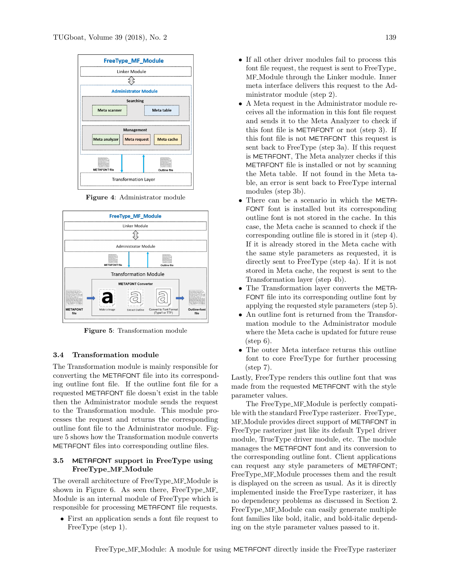<span id="page-3-0"></span>

Figure 4: Administrator module

<span id="page-3-1"></span>

Figure 5: Transformation module

#### 3.4 Transformation module

The Transformation module is mainly responsible for converting the METAFONT file into its corresponding outline font file. If the outline font file for a requested METAFONT file doesn't exist in the table then the Administrator module sends the request to the Transformation module. This module processes the request and returns the corresponding outline font file to the Administrator module. Figure [5](#page-3-1) shows how the Transformation module converts METAFONT files into corresponding outline files.

## 3.5 METAFONT support in FreeType using FreeType MF Module

The overall architecture of FreeType MF Module is shown in Figure [6.](#page-4-1) As seen there, FreeType\_MF\_ Module is an internal module of FreeType which is responsible for processing METAFONT file requests.

• First an application sends a font file request to FreeType (step 1).

- If all other driver modules fail to process this font file request, the request is sent to FreeType MF Module through the Linker module. Inner meta interface delivers this request to the Administrator module (step 2).
- A Meta request in the Administrator module receives all the information in this font file request and sends it to the Meta Analyzer to check if this font file is METAFONT or not (step 3). If this font file is not METAFONT this request is sent back to FreeType (step 3a). If this request is METAFONT, The Meta analyzer checks if this METAFONT file is installed or not by scanning the Meta table. If not found in the Meta table, an error is sent back to FreeType internal modules (step 3b).
- There can be a scenario in which the META-FONT font is installed but its corresponding outline font is not stored in the cache. In this case, the Meta cache is scanned to check if the corresponding outline file is stored in it (step 4). If it is already stored in the Meta cache with the same style parameters as requested, it is directly sent to FreeType (step 4a). If it is not stored in Meta cache, the request is sent to the Transformation layer (step 4b).
- The Transformation layer converts the META-FONT file into its corresponding outline font by applying the requested style parameters (step 5).
- An outline font is returned from the Transformation module to the Administrator module where the Meta cache is updated for future reuse  $(\text{step } 6).$
- The outer Meta interface returns this outline font to core FreeType for further processing (step 7).

Lastly, FreeType renders this outline font that was made from the requested METAFONT with the style parameter values.

The FreeType\_MF\_Module is perfectly compatible with the standard FreeType rasterizer. FreeType MF Module provides direct support of METAFONT in FreeType rasterizer just like its default Type1 driver module, TrueType driver module, etc. The module manages the METAFONT font and its conversion to the corresponding outline font. Client applications can request any style parameters of METAFONT; FreeType\_MF\_Module processes them and the result is displayed on the screen as usual. As it is directly implemented inside the FreeType rasterizer, it has no dependency problems as discussed in Section 2. FreeType MF Module can easily generate multiple font families like bold, italic, and bold-italic depending on the style parameter values passed to it.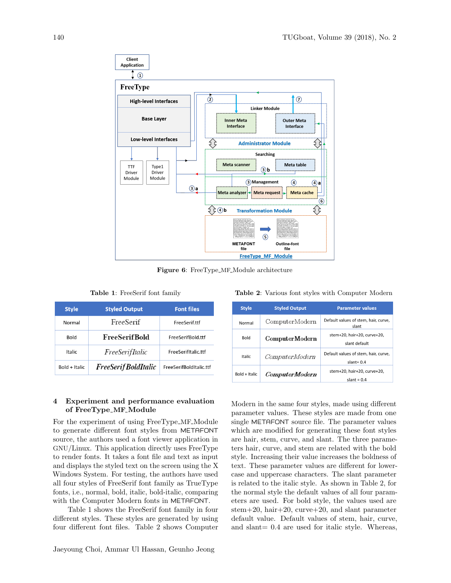<span id="page-4-1"></span>

Figure 6: FreeType\_MF\_Module architecture

|  | <b>Table 1:</b> FreeSerif font family |  |  |
|--|---------------------------------------|--|--|
|--|---------------------------------------|--|--|

<span id="page-4-2"></span>

| <b>Style</b>  | <b>Styled Output</b> | <b>Font files</b>       |
|---------------|----------------------|-------------------------|
| Normal        | FreeSerif            | FreeSerif.ttf           |
| <b>Bold</b>   | <b>FreeSerifBold</b> | FreeSerifBold.ttf       |
| <b>Italic</b> | FreeSerifItalic      | FreeSerifItalic.ttf     |
| Bold + Italic | FreeSerif BoldItalic | FreeSerifBoldItalic.ttf |

# <span id="page-4-0"></span>4 Experiment and performance evaluation of FreeType MF Module

For the experiment of using FreeType MF Module to generate different font styles from METAFONT source, the authors used a font viewer application in GNU/Linux. This application directly uses FreeType to render fonts. It takes a font file and text as input and displays the styled text on the screen using the X Windows System. For testing, the authors have used all four styles of FreeSerif font family as TrueType fonts, i.e., normal, bold, italic, bold-italic, comparing with the Computer Modern fonts in METAFONT.

Table [1](#page-4-2) shows the FreeSerif font family in four different styles. These styles are generated by using four different font files. Table [2](#page-4-3) shows Computer

<span id="page-4-3"></span>

| <b>Charles</b> | Chulod Output                                     | <b>Dommotor</b> voluse |  |
|----------------|---------------------------------------------------|------------------------|--|
|                | Table 2: Various font styles with Computer Modern |                        |  |

| <b>Style</b>  | <b>Styled Output</b>  | <b>Parameter values</b>                              |  |
|---------------|-----------------------|------------------------------------------------------|--|
| Normal        | ComputerModern        | Default values of stem, hair, curve,<br>slant        |  |
| <b>Bold</b>   | <b>ComputerModern</b> | stem+20. hair+20. curve+20.<br>slant default         |  |
| Italic        | ComputerModern        | Default values of stem, hair, curve,<br>slant= $0.4$ |  |
| Bold + Italic | <i>ComputerModern</i> | stem+20, hair+20, curve+20,<br>slant = $0.4$         |  |

Modern in the same four styles, made using different parameter values. These styles are made from one single METAFONT source file. The parameter values which are modified for generating these font styles are hair, stem, curve, and slant. The three parameters hair, curve, and stem are related with the bold style. Increasing their value increases the boldness of text. These parameter values are different for lowercase and uppercase characters. The slant parameter is related to the italic style. As shown in Table [2,](#page-4-3) for the normal style the default values of all four parameters are used. For bold style, the values used are stem+20, hair+20, curve+20, and slant parameter default value. Default values of stem, hair, curve, and slant= 0.4 are used for italic style. Whereas,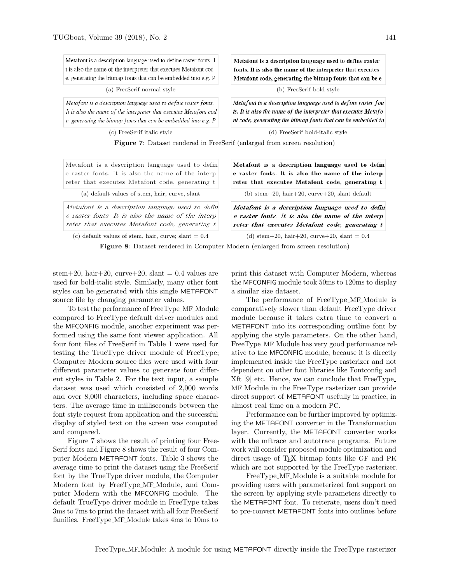<span id="page-5-0"></span>Metafont is a description language used to define raster fonts. I t is also the name of the interpreter that executes Metafont cod e, generating the bitmap fonts that can be embedded into e.g. P

(a) FreeSerif normal style (b) FreeSerif bold style

Metafont is a description language used to define raster fonts. It is also the name of the interpreter that executes Metafont cod  $e$ , generating the bitmap fonts that can be embedded into  $e$ .g.  $P$ 

Metafont is a description language used to define raster fonts. It is also the name of the interpreter that executes Metafont code, generating the bitmap fonts that can be e

Metafont is a description language used to define raster fon ts. It is also the name of the interpreter that executes Metafo nt code, generating the bitmap fonts that can be embedded in

(c) FreeSerif italic style (d) FreeSerif bold-italic style

Figure 7: Dataset rendered in FreeSerif (enlarged from screen resolution)

<span id="page-5-1"></span>Metafont is a description language used to defin e raster fonts. It is also the name of the interp reter that executes Metafont code, generating t

Metafont is a description language used to defin e raster fonts. It is also the name of the interp reter that executes Metafont code, generating t

(c) default values of stem, hair, curve; slant  $= 0.4$  (d) stem+20, hair+20, curve+20, slant  $= 0.4$ 

Metafont is a description language used to defin e raster fonts. It is also the name of the interp reter that executes Metafont code, generating t

(a) default values of stem, hair, curve, slant (b) stem+20, hair+20, curve+20, slant default

Metafont is a description language used to defin e raster fonts. It is also the name of the interp reter that executes Metafont code, generating t

Figure 8: Dataset rendered in Computer Modern (enlarged from screen resolution)

stem+20, hair+20, curve+20, slant =  $0.4$  values are used for bold-italic style. Similarly, many other font styles can be generated with this single METAFONT source file by changing parameter values.

To test the performance of FreeType MF Module compared to FreeType default driver modules and the MFCONFIG module, another experiment was performed using the same font viewer application. All four font files of FreeSerif in Table [1](#page-4-2) were used for testing the TrueType driver module of FreeType; Computer Modern source files were used with four different parameter values to generate four different styles in Table [2.](#page-4-3) For the text input, a sample dataset was used which consisted of 2,000 words and over 8,000 characters, including space characters. The average time in milliseconds between the font style request from application and the successful display of styled text on the screen was computed and compared.

Figure [7](#page-5-0) shows the result of printing four Free-Serif fonts and Figure [8](#page-5-1) shows the result of four Computer Modern METAFONT fonts. Table [3](#page-6-1) shows the average time to print the dataset using the FreeSerif font by the TrueType driver module, the Computer Modern font by FreeType MF Module, and Computer Modern with the MFCONFIG module. The default TrueType driver module in FreeType takes 3ms to 7ms to print the dataset with all four FreeSerif families. FreeType MF Module takes 4ms to 10ms to

print this dataset with Computer Modern, whereas the MFCONFIG module took 50ms to 120ms to display a similar size dataset.

The performance of FreeType MF Module is comparatively slower than default FreeType driver module because it takes extra time to convert a METAFONT into its corresponding outline font by applying the style parameters. On the other hand, FreeType MF Module has very good performance relative to the MFCONFIG module, because it is directly implemented inside the FreeType rasterizer and not dependent on other font libraries like Fontconfig and Xft [9] etc. Hence, we can conclude that FreeType MF Module in the FreeType rasterizer can provide direct support of METAFONT usefully in practice, in almost real time on a modern PC.

Performance can be further improved by optimizing the METAFONT converter in the Transformation layer. Currently, the METAFONT converter works with the mftrace and autotrace programs. Future work will consider proposed module optimization and direct usage of T<sub>F</sub>X bitmap fonts like GF and PK which are not supported by the FreeType rasterizer.

FreeType MF Module is a suitable module for providing users with parameterized font support on the screen by applying style parameters directly to the METAFONT font. To reiterate, users don't need to pre-convert METAFONT fonts into outlines before